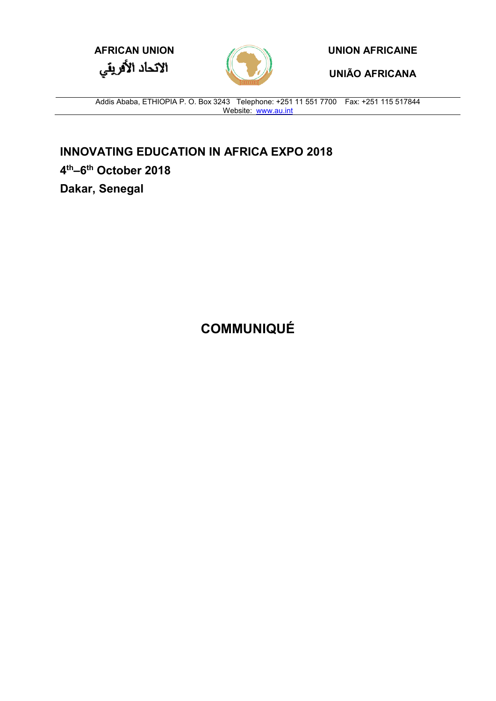



**UNIÃO AFRICANA**

Addis Ababa, ETHIOPIA P. O. Box 3243 Telephone: +251 11 551 7700 Fax: +251 115 517844 Website: [www.au.int](http://www.au.int/)

**INNOVATING EDUCATION IN AFRICA EXPO 2018 4th–6th October 2018 Dakar, Senegal**

**COMMUNIQUÉ**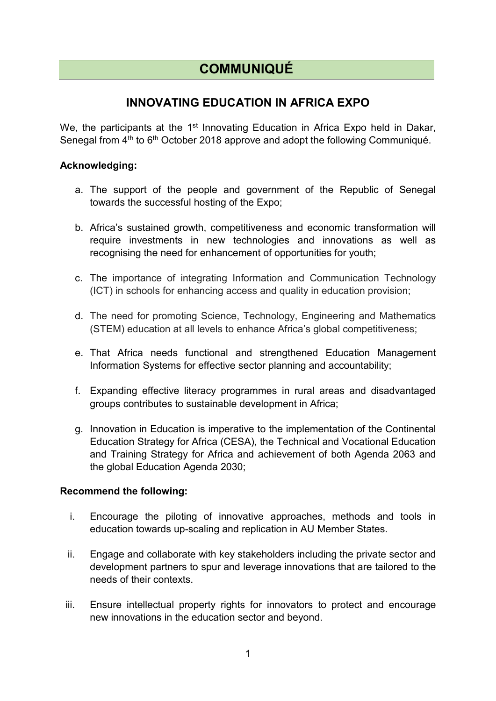## **COMMUNIQUÉ**

## **INNOVATING EDUCATION IN AFRICA EXPO**

We, the participants at the 1<sup>st</sup> Innovating Education in Africa Expo held in Dakar, Senegal from 4<sup>th</sup> to 6<sup>th</sup> October 2018 approve and adopt the following Communiqué.

## **Acknowledging:**

- a. The support of the people and government of the Republic of Senegal towards the successful hosting of the Expo;
- b. Africa's sustained growth, competitiveness and economic transformation will require investments in new technologies and innovations as well as recognising the need for enhancement of opportunities for youth;
- c. The importance of integrating Information and Communication Technology (ICT) in schools for enhancing access and quality in education provision;
- d. The need for promoting Science, Technology, Engineering and Mathematics (STEM) education at all levels to enhance Africa's global competitiveness;
- e. That Africa needs functional and strengthened Education Management Information Systems for effective sector planning and accountability;
- f. Expanding effective literacy programmes in rural areas and disadvantaged groups contributes to sustainable development in Africa;
- g. Innovation in Education is imperative to the implementation of the Continental Education Strategy for Africa (CESA), the Technical and Vocational Education and Training Strategy for Africa and achievement of both Agenda 2063 and the global Education Agenda 2030;

## **Recommend the following:**

- i. Encourage the piloting of innovative approaches, methods and tools in education towards up-scaling and replication in AU Member States.
- ii. Engage and collaborate with key stakeholders including the private sector and development partners to spur and leverage innovations that are tailored to the needs of their contexts.
- iii. Ensure intellectual property rights for innovators to protect and encourage new innovations in the education sector and beyond.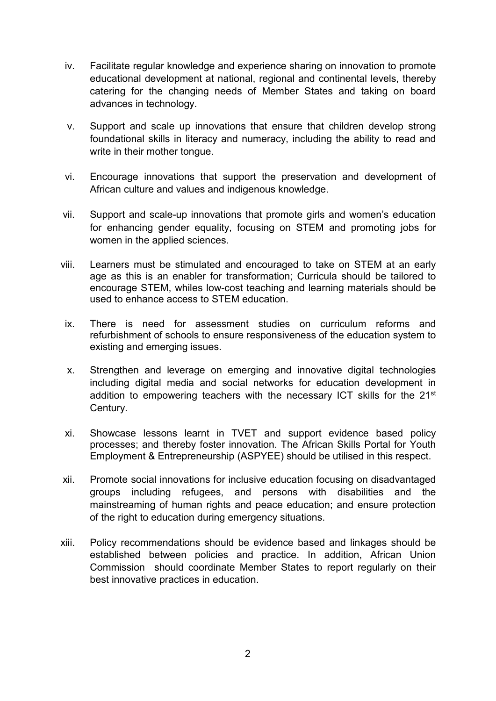- iv. Facilitate regular knowledge and experience sharing on innovation to promote educational development at national, regional and continental levels, thereby catering for the changing needs of Member States and taking on board advances in technology.
- v. Support and scale up innovations that ensure that children develop strong foundational skills in literacy and numeracy, including the ability to read and write in their mother tongue.
- vi. Encourage innovations that support the preservation and development of African culture and values and indigenous knowledge.
- vii. Support and scale-up innovations that promote girls and women's education for enhancing gender equality, focusing on STEM and promoting jobs for women in the applied sciences.
- viii. Learners must be stimulated and encouraged to take on STEM at an early age as this is an enabler for transformation; Curricula should be tailored to encourage STEM, whiles low-cost teaching and learning materials should be used to enhance access to STEM education.
- ix. There is need for assessment studies on curriculum reforms and refurbishment of schools to ensure responsiveness of the education system to existing and emerging issues.
- x. Strengthen and leverage on emerging and innovative digital technologies including digital media and social networks for education development in addition to empowering teachers with the necessary ICT skills for the 21<sup>st</sup> Century.
- xi. Showcase lessons learnt in TVET and support evidence based policy processes; and thereby foster innovation. The African Skills Portal for Youth Employment & Entrepreneurship (ASPYEE) should be utilised in this respect.
- xii. Promote social innovations for inclusive education focusing on disadvantaged groups including refugees, and persons with disabilities and the mainstreaming of human rights and peace education; and ensure protection of the right to education during emergency situations.
- xiii. Policy recommendations should be evidence based and linkages should be established between policies and practice. In addition, African Union Commission should coordinate Member States to report regularly on their best innovative practices in education.